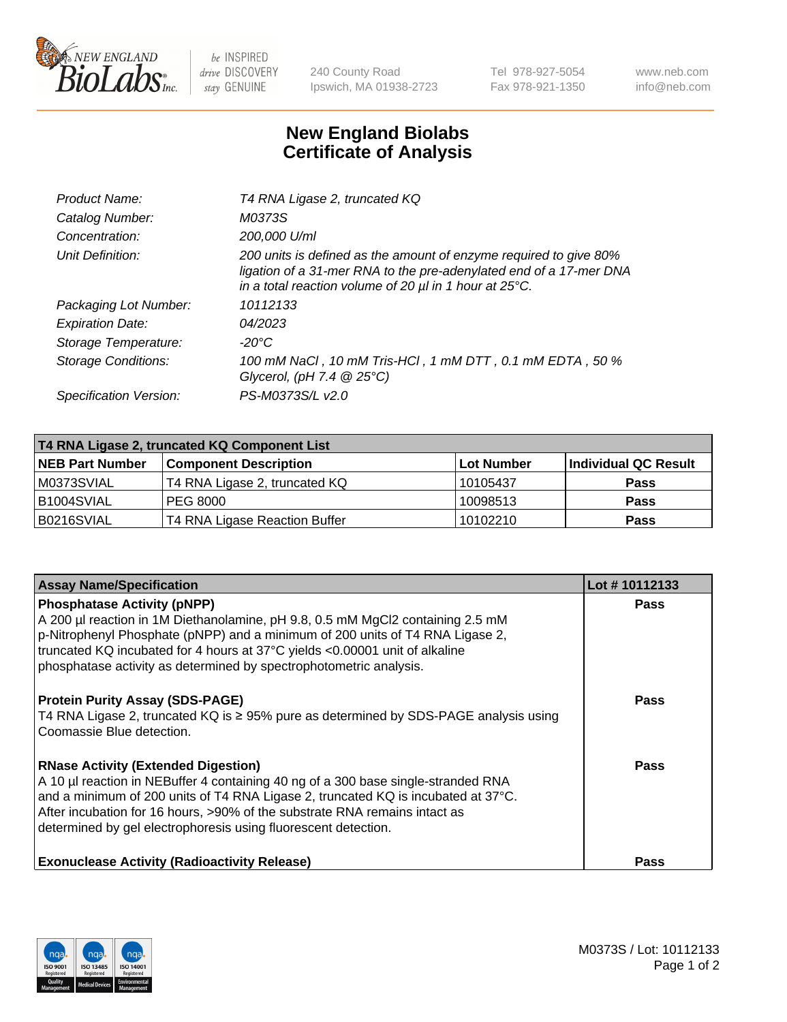

 $be$  INSPIRED drive DISCOVERY stay GENUINE

240 County Road Ipswich, MA 01938-2723 Tel 978-927-5054 Fax 978-921-1350 www.neb.com info@neb.com

## **New England Biolabs Certificate of Analysis**

| Product Name:              | T4 RNA Ligase 2, truncated KQ                                                                                                                                                                                    |
|----------------------------|------------------------------------------------------------------------------------------------------------------------------------------------------------------------------------------------------------------|
| Catalog Number:            | M0373S                                                                                                                                                                                                           |
| Concentration:             | 200,000 U/ml                                                                                                                                                                                                     |
| Unit Definition:           | 200 units is defined as the amount of enzyme required to give 80%<br>ligation of a 31-mer RNA to the pre-adenylated end of a 17-mer DNA<br>in a total reaction volume of 20 $\mu$ l in 1 hour at 25 $\degree$ C. |
| Packaging Lot Number:      | 10112133                                                                                                                                                                                                         |
| <b>Expiration Date:</b>    | 04/2023                                                                                                                                                                                                          |
| Storage Temperature:       | -20°C                                                                                                                                                                                                            |
| <b>Storage Conditions:</b> | 100 mM NaCl, 10 mM Tris-HCl, 1 mM DTT, 0.1 mM EDTA, 50 %<br>Glycerol, (pH 7.4 $@25°C$ )                                                                                                                          |
| Specification Version:     | PS-M0373S/L v2.0                                                                                                                                                                                                 |

| T4 RNA Ligase 2, truncated KQ Component List |                               |             |                      |  |
|----------------------------------------------|-------------------------------|-------------|----------------------|--|
| <b>NEB Part Number</b>                       | <b>Component Description</b>  | ⊺Lot Number | Individual QC Result |  |
| M0373SVIAL                                   | T4 RNA Ligase 2, truncated KQ | 10105437    | <b>Pass</b>          |  |
| B <sub>1004</sub> SVIAL                      | <b>PEG 8000</b>               | 10098513    | <b>Pass</b>          |  |
| B0216SVIAL                                   | T4 RNA Ligase Reaction Buffer | 10102210    | <b>Pass</b>          |  |

| <b>Assay Name/Specification</b>                                                                                                                                                                                                                                                                                                                                      | Lot #10112133 |
|----------------------------------------------------------------------------------------------------------------------------------------------------------------------------------------------------------------------------------------------------------------------------------------------------------------------------------------------------------------------|---------------|
| <b>Phosphatase Activity (pNPP)</b><br>A 200 µl reaction in 1M Diethanolamine, pH 9.8, 0.5 mM MgCl2 containing 2.5 mM<br>p-Nitrophenyl Phosphate (pNPP) and a minimum of 200 units of T4 RNA Ligase 2,<br>truncated KQ incubated for 4 hours at 37°C yields <0.00001 unit of alkaline<br>phosphatase activity as determined by spectrophotometric analysis.           | <b>Pass</b>   |
| <b>Protein Purity Assay (SDS-PAGE)</b><br>T4 RNA Ligase 2, truncated KQ is $\geq$ 95% pure as determined by SDS-PAGE analysis using<br>Coomassie Blue detection.                                                                                                                                                                                                     | <b>Pass</b>   |
| <b>RNase Activity (Extended Digestion)</b><br>A 10 µl reaction in NEBuffer 4 containing 40 ng of a 300 base single-stranded RNA<br>and a minimum of 200 units of T4 RNA Ligase 2, truncated KQ is incubated at 37°C.<br>After incubation for 16 hours, >90% of the substrate RNA remains intact as<br>determined by gel electrophoresis using fluorescent detection. | Pass          |
| <b>Exonuclease Activity (Radioactivity Release)</b>                                                                                                                                                                                                                                                                                                                  | <b>Pass</b>   |